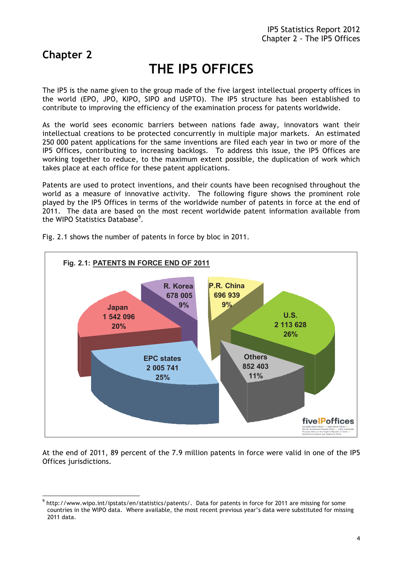# **Chapter 2**

# **THE IP5 OFFICES**

The IP5 is the name given to the group made of the five largest intellectual property offices in the world (EPO, JPO, KIPO, SIPO and USPTO). The IP5 structure has been established to contribute to improving the efficiency of the examination process for patents worldwide.

As the world sees economic barriers between nations fade away, innovators want their intellectual creations to be protected concurrently in multiple major markets. An estimated 250 000 patent applications for the same inventions are filed each year in two or more of the IP5 Offices, contributing to increasing backlogs. To address this issue, the IP5 Offices are working together to reduce, to the maximum extent possible, the duplication of work which takes place at each office for these patent applications.

Patents are used to protect inventions, and their counts have been recognised throughout the world as a measure of innovative activity. The following figure shows the prominent role played by the IP5 Offices in terms of the worldwide number of patents in force at the end of 2011. The data are based on the most recent worldwide patent information available from the WIPO Statistics Database<sup>9</sup>.



Fig. 2.1 shows the number of patents in force by bloc in 2011.

At the end of 2011, 89 percent of the 7.9 million patents in force were valid in one of the IP5 Offices jurisdictions.

 $\overline{a}$ 9 http://www.wipo.int/ipstats/en/statistics/patents/. Data for patents in force for 2011 are missing for some countries in the WIPO data. Where available, the most recent previous year's data were substituted for missing 2011 data.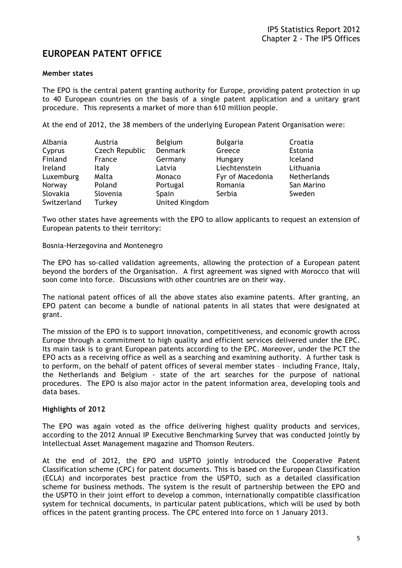# **EUROPEAN PATENT OFFICE**

#### **Member states**

The EPO is the central patent granting authority for Europe, providing patent protection in up to 40 European countries on the basis of a single patent application and a unitary grant procedure. This represents a market of more than 610 million people.

At the end of 2012, the 38 members of the underlying European Patent Organisation were:

| Albania     | Austria        | <b>Belgium</b> | <b>Bulgaria</b>  | Croatia            |
|-------------|----------------|----------------|------------------|--------------------|
| Cyprus      | Czech Republic | <b>Denmark</b> | Greece           | Estonia            |
| Finland     | France         | Germany        | Hungary          | Iceland            |
| Ireland     | Italy          | Latvia         | Liechtenstein    | Lithuania          |
| Luxemburg   | Malta          | Monaco         | Fyr of Macedonia | <b>Netherlands</b> |
| Norway      | Poland         | Portugal       | Romania          | San Marino         |
| Slovakia    | Slovenia       | Spain          | Serbia           | Sweden             |
| Switzerland | Turkey         | United Kingdom |                  |                    |

Two other states have agreements with the EPO to allow applicants to request an extension of European patents to their territory:

#### Bosnia-Herzegovina and Montenegro

The EPO has so-called validation agreements, allowing the protection of a European patent beyond the borders of the Organisation. A first agreement was signed with Morocco that will soon come into force. Discussions with other countries are on their way.

The national patent offices of all the above states also examine patents. After granting, an EPO patent can become a bundle of national patents in all states that were designated at grant.

The mission of the EPO is to support innovation, competitiveness, and economic growth across Europe through a commitment to high quality and efficient services delivered under the EPC. Its main task is to grant European patents according to the EPC. Moreover, under the PCT the EPO acts as a receiving office as well as a searching and examining authority. A further task is to perform, on the behalf of patent offices of several member states – including France, Italy, the Netherlands and Belgium - state of the art searches for the purpose of national procedures. The EPO is also major actor in the patent information area, developing tools and data bases.

#### **Highlights of 2012**

The EPO was again voted as the office delivering highest quality products and services, according to the 2012 Annual IP Executive Benchmarking Survey that was conducted jointly by Intellectual Asset Management magazine and Thomson Reuters.

At the end of 2012, the EPO and USPTO jointly introduced the Cooperative Patent Classification scheme (CPC) for patent documents. This is based on the European Classification (ECLA) and incorporates best practice from the USPTO, such as a detailed classification scheme for business methods. The system is the result of partnership between the EPO and the USPTO in their joint effort to develop a common, internationally compatible classification system for technical documents, in particular patent publications, which will be used by both offices in the patent granting process. The CPC entered into force on 1 January 2013.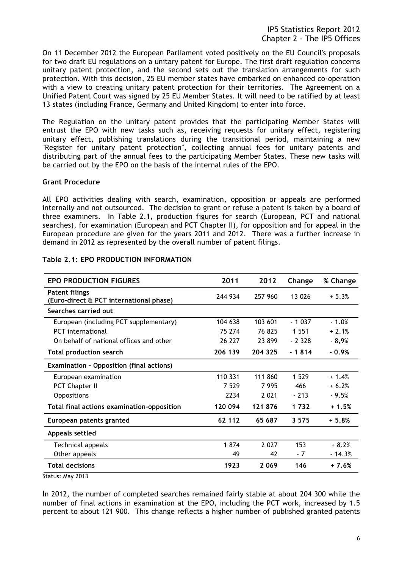On 11 December 2012 the European Parliament voted positively on the EU Council's proposals for two draft EU regulations on a unitary patent for Europe. The first draft regulation concerns unitary patent protection, and the second sets out the translation arrangements for such protection. With this decision, 25 EU member states have embarked on enhanced co-operation with a view to creating unitary patent protection for their territories. The Agreement on a Unified Patent Court was signed by 25 EU Member States. It will need to be ratified by at least 13 states (including France, Germany and United Kingdom) to enter into force.

The Regulation on the unitary patent provides that the participating Member States will entrust the EPO with new tasks such as, receiving requests for unitary effect, registering unitary effect, publishing translations during the transitional period, maintaining a new "Register for unitary patent protection", collecting annual fees for unitary patents and distributing part of the annual fees to the participating Member States. These new tasks will be carried out by the EPO on the basis of the internal rules of the EPO.

#### **Grant Procedure**

All EPO activities dealing with search, examination, opposition or appeals are performed internally and not outsourced. The decision to grant or refuse a patent is taken by a board of three examiners. In Table 2.1, production figures for search (European, PCT and national searches), for examination (European and PCT Chapter II), for opposition and for appeal in the European procedure are given for the years 2011 and 2012. There was a further increase in demand in 2012 as represented by the overall number of patent filings.

| <b>EPO PRODUCTION FIGURES</b>                                    | 2011    | 2012    | Change   | % Change |
|------------------------------------------------------------------|---------|---------|----------|----------|
| <b>Patent filings</b><br>(Euro-direct & PCT international phase) | 244 934 | 257 960 | 13 0 26  | $+5.3%$  |
| Searches carried out                                             |         |         |          |          |
| European (including PCT supplementary)                           | 104 638 | 103 601 | $-1037$  | $-1.0%$  |
| <b>PCT</b> international                                         | 75 274  | 76 825  | 1 5 5 1  | $+2.1%$  |
| On behalf of national offices and other                          | 26 227  | 23899   | $-2.328$ | $-8,9%$  |
| <b>Total production search</b>                                   | 206 139 | 204 325 | $-1814$  | - 0.9%   |
| <b>Examination - Opposition (final actions)</b>                  |         |         |          |          |
| European examination                                             | 110 331 | 111 860 | 1 5 2 9  | $+1.4%$  |
| <b>PCT Chapter II</b>                                            | 7 5 2 9 | 7995    | 466      | $+6.2%$  |
| <b>Oppositions</b>                                               | 2234    | 2 0 2 1 | $-213$   | $-9.5%$  |
| Total final actions examination-opposition                       | 120 094 | 121876  | 1732     | $+1.5%$  |
| European patents granted                                         | 62 112  | 65 687  | 3 5 7 5  | $+5.8%$  |
| Appeals settled                                                  |         |         |          |          |
| Technical appeals                                                | 1874    | 2 0 2 7 | 153      | $+8.2%$  |
| Other appeals                                                    | 49      | 42      | - 7      | $-14.3%$ |
| <b>Total decisions</b>                                           | 1923    | 2 0 6 9 | 146      | $+7.6%$  |

#### **Table 2.1: EPO PRODUCTION INFORMATION**

Status: May 2013

In 2012, the number of completed searches remained fairly stable at about 204 300 while the number of final actions in examination at the EPO, including the PCT work, increased by 1.5 percent to about 121 900. This change reflects a higher number of published granted patents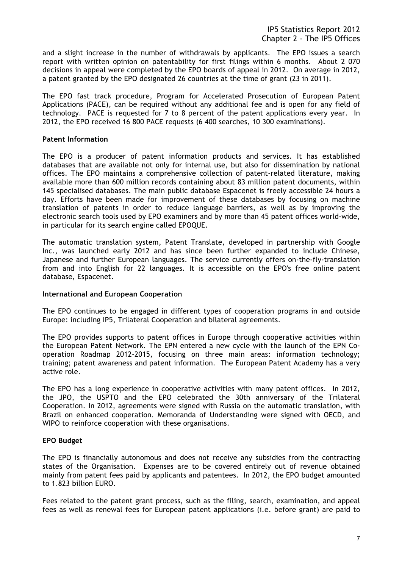and a slight increase in the number of withdrawals by applicants. The EPO issues a search report with written opinion on patentability for first filings within 6 months. About 2 070 decisions in appeal were completed by the EPO boards of appeal in 2012. On average in 2012, a patent granted by the EPO designated 26 countries at the time of grant (23 in 2011).

The EPO fast track procedure, Program for Accelerated Prosecution of European Patent Applications (PACE), can be required without any additional fee and is open for any field of technology. PACE is requested for 7 to 8 percent of the patent applications every year. In 2012, the EPO received 16 800 PACE requests (6 400 searches, 10 300 examinations).

#### **Patent Information**

The EPO is a producer of patent information products and services. It has established databases that are available not only for internal use, but also for dissemination by national offices. The EPO maintains a comprehensive collection of patent-related literature, making available more than 600 million records containing about 83 million patent documents, within 145 specialised databases. The main public database Espacenet is freely accessible 24 hours a day. Efforts have been made for improvement of these databases by focusing on machine translation of patents in order to reduce language barriers, as well as by improving the electronic search tools used by EPO examiners and by more than 45 patent offices world-wide, in particular for its search engine called EPOQUE.

The automatic translation system, Patent Translate, developed in partnership with Google Inc., was launched early 2012 and has since been further expanded to include Chinese, Japanese and further European languages. The service currently offers on-the-fly-translation from and into English for 22 languages. It is accessible on the EPO's free online patent database, Espacenet.

#### **International and European Cooperation**

The EPO continues to be engaged in different types of cooperation programs in and outside Europe: including IP5, Trilateral Cooperation and bilateral agreements.

The EPO provides supports to patent offices in Europe through cooperative activities within the European Patent Network. The EPN entered a new cycle with the launch of the EPN Cooperation Roadmap 2012-2015, focusing on three main areas: information technology; training; patent awareness and patent information. The European Patent Academy has a very active role.

The EPO has a long experience in cooperative activities with many patent offices. In 2012, the JPO, the USPTO and the EPO celebrated the 30th anniversary of the Trilateral Cooperation. In 2012, agreements were signed with Russia on the automatic translation, with Brazil on enhanced cooperation. Memoranda of Understanding were signed with OECD, and WIPO to reinforce cooperation with these organisations.

#### **EPO Budget**

The EPO is financially autonomous and does not receive any subsidies from the contracting states of the Organisation. Expenses are to be covered entirely out of revenue obtained mainly from patent fees paid by applicants and patentees. In 2012, the EPO budget amounted to 1.823 billion EURO.

Fees related to the patent grant process, such as the filing, search, examination, and appeal fees as well as renewal fees for European patent applications (i.e. before grant) are paid to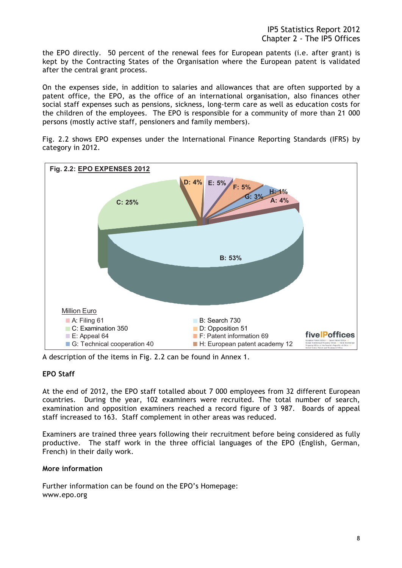the EPO directly. 50 percent of the renewal fees for European patents (i.e. after grant) is kept by the Contracting States of the Organisation where the European patent is validated after the central grant process.

On the expenses side, in addition to salaries and allowances that are often supported by a patent office, the EPO, as the office of an international organisation, also finances other social staff expenses such as pensions, sickness, long-term care as well as education costs for the children of the employees. The EPO is responsible for a community of more than 21 000 persons (mostly active staff, pensioners and family members).

Fig. 2.2 shows EPO expenses under the International Finance Reporting Standards (IFRS) by category in 2012.



A description of the items in Fig. 2.2 can be found in Annex 1.

# **EPO Staff**

At the end of 2012, the EPO staff totalled about 7 000 employees from 32 different European countries. During the year, 102 examiners were recruited. The total number of search, examination and opposition examiners reached a record figure of 3 987. Boards of appeal staff increased to 163. Staff complement in other areas was reduced.

Examiners are trained three years following their recruitment before being considered as fully productive. The staff work in the three official languages of the EPO (English, German, French) in their daily work.

#### **More information**

Further information can be found on the EPO's Homepage: www.epo.org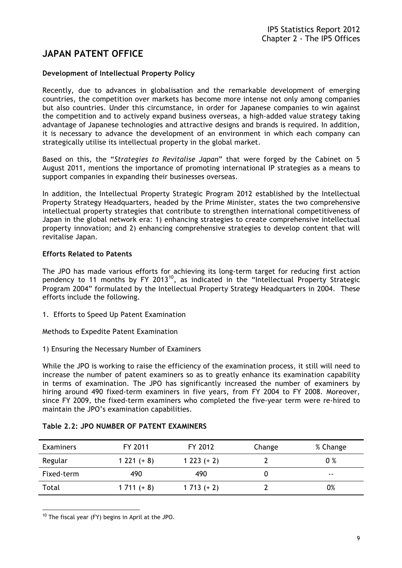# **JAPAN PATENT OFFICE**

## **Development of Intellectual Property Policy**

Recently, due to advances in globalisation and the remarkable development of emerging countries, the competition over markets has become more intense not only among companies but also countries. Under this circumstance, in order for Japanese companies to win against the competition and to actively expand business overseas, a high-added value strategy taking advantage of Japanese technologies and attractive designs and brands is required. In addition, it is necessary to advance the development of an environment in which each company can strategically utilise its intellectual property in the global market.

Based on this, the "*Strategies to Revitalise Japan*" that were forged by the Cabinet on 5 August 2011, mentions the importance of promoting international IP strategies as a means to support companies in expanding their businesses overseas.

In addition, the Intellectual Property Strategic Program 2012 established by the Intellectual Property Strategy Headquarters, headed by the Prime Minister, states the two comprehensive intellectual property strategies that contribute to strengthen international competitiveness of Japan in the global network era: 1) enhancing strategies to create comprehensive intellectual property innovation; and 2) enhancing comprehensive strategies to develop content that will revitalise Japan.

## **Efforts Related to Patents**

The JPO has made various efforts for achieving its long-term target for reducing first action pendency to 11 months by FY 2013<sup>10</sup>, as indicated in the "Intellectual Property Strategic Program 2004" formulated by the Intellectual Property Strategy Headquarters in 2004. These efforts include the following.

1. Efforts to Speed Up Patent Examination

Methods to Expedite Patent Examination

1) Ensuring the Necessary Number of Examiners

While the JPO is working to raise the efficiency of the examination process, it still will need to increase the number of patent examiners so as to greatly enhance its examination capability in terms of examination. The JPO has significantly increased the number of examiners by hiring around 490 fixed-term examiners in five years, from FY 2004 to FY 2008. Moreover, since FY 2009, the fixed-term examiners who completed the five-year term were re-hired to maintain the JPO's examination capabilities.

| <b>Examiners</b> | FY 2011      | FY 2012      | Change | % Change |
|------------------|--------------|--------------|--------|----------|
| Regular          | $1221 (+ 8)$ | $1223 (+ 2)$ |        | $0\%$    |
| Fixed-term       | 490          | 490          |        | --       |
| Total            | $1711 (+ 8)$ | $1713 (+ 2)$ |        | 0%       |

#### **Table 2.2: JPO NUMBER OF PATENT EXAMINERS**

 $\overline{a}$  $10$  The fiscal year (FY) begins in April at the JPO.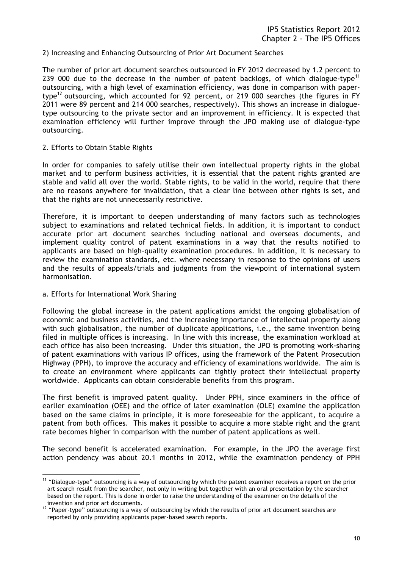#### 2) Increasing and Enhancing Outsourcing of Prior Art Document Searches

The number of prior art document searches outsourced in FY 2012 decreased by 1.2 percent to 239 000 due to the decrease in the number of patent backlogs, of which dialogue-type<sup>11</sup> outsourcing, with a high level of examination efficiency, was done in comparison with papertype<sup>12</sup> outsourcing, which accounted for 92 percent, or 219 000 searches (the figures in FY 2011 were 89 percent and 214 000 searches, respectively). This shows an increase in dialoguetype outsourcing to the private sector and an improvement in efficiency. It is expected that examination efficiency will further improve through the JPO making use of dialogue-type outsourcing.

#### 2. Efforts to Obtain Stable Rights

In order for companies to safely utilise their own intellectual property rights in the global market and to perform business activities, it is essential that the patent rights granted are stable and valid all over the world. Stable rights, to be valid in the world, require that there are no reasons anywhere for invalidation, that a clear line between other rights is set, and that the rights are not unnecessarily restrictive.

Therefore, it is important to deepen understanding of many factors such as technologies subject to examinations and related technical fields. In addition, it is important to conduct accurate prior art document searches including national and overseas documents, and implement quality control of patent examinations in a way that the results notified to applicants are based on high-quality examination procedures. In addition, it is necessary to review the examination standards, etc. where necessary in response to the opinions of users and the results of appeals/trials and judgments from the viewpoint of international system harmonisation.

#### a. Efforts for International Work Sharing

Following the global increase in the patent applications amidst the ongoing globalisation of economic and business activities, and the increasing importance of intellectual property along with such globalisation, the number of duplicate applications, i.e., the same invention being filed in multiple offices is increasing. In line with this increase, the examination workload at each office has also been increasing. Under this situation, the JPO is promoting work-sharing of patent examinations with various IP offices, using the framework of the Patent Prosecution Highway (PPH), to improve the accuracy and efficiency of examinations worldwide. The aim is to create an environment where applicants can tightly protect their intellectual property worldwide. Applicants can obtain considerable benefits from this program.

The first benefit is improved patent quality. Under PPH, since examiners in the office of earlier examination (OEE) and the office of later examination (OLE) examine the application based on the same claims in principle, it is more foreseeable for the applicant, to acquire a patent from both offices. This makes it possible to acquire a more stable right and the grant rate becomes higher in comparison with the number of patent applications as well.

The second benefit is accelerated examination. For example, in the JPO the average first action pendency was about 20.1 months in 2012, while the examination pendency of PPH

 $\overline{a}$  $11$  "Dialogue-type" outsourcing is a way of outsourcing by which the patent examiner receives a report on the prior art search result from the searcher, not only in writing but together with an oral presentation by the searcher based on the report. This is done in order to raise the understanding of the examiner on the details of the

invention and prior art documents.<br><sup>12</sup> "Paper-type" outsourcing is a way of outsourcing by which the results of prior art document searches are reported by only providing applicants paper-based search reports.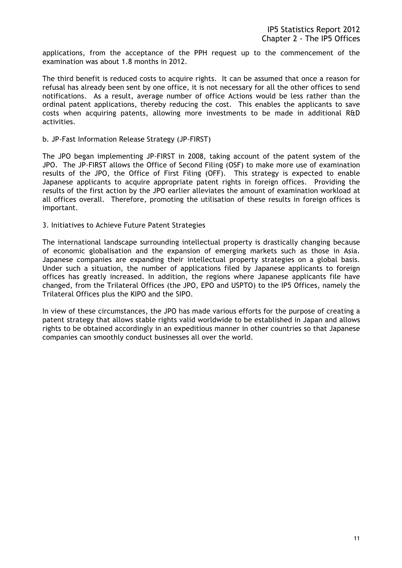applications, from the acceptance of the PPH request up to the commencement of the examination was about 1.8 months in 2012.

The third benefit is reduced costs to acquire rights. It can be assumed that once a reason for refusal has already been sent by one office, it is not necessary for all the other offices to send notifications. As a result, average number of office Actions would be less rather than the ordinal patent applications, thereby reducing the cost. This enables the applicants to save costs when acquiring patents, allowing more investments to be made in additional R&D activities.

#### b. JP-Fast Information Release Strategy (JP-FIRST)

The JPO began implementing JP-FIRST in 2008, taking account of the patent system of the JPO. The JP-FIRST allows the Office of Second Filing (OSF) to make more use of examination results of the JPO, the Office of First Filing (OFF). This strategy is expected to enable Japanese applicants to acquire appropriate patent rights in foreign offices. Providing the results of the first action by the JPO earlier alleviates the amount of examination workload at all offices overall. Therefore, promoting the utilisation of these results in foreign offices is important.

#### 3. Initiatives to Achieve Future Patent Strategies

The international landscape surrounding intellectual property is drastically changing because of economic globalisation and the expansion of emerging markets such as those in Asia. Japanese companies are expanding their intellectual property strategies on a global basis. Under such a situation, the number of applications filed by Japanese applicants to foreign offices has greatly increased. In addition, the regions where Japanese applicants file have changed, from the Trilateral Offices (the JPO, EPO and USPTO) to the IP5 Offices, namely the Trilateral Offices plus the KIPO and the SIPO.

In view of these circumstances, the JPO has made various efforts for the purpose of creating a patent strategy that allows stable rights valid worldwide to be established in Japan and allows rights to be obtained accordingly in an expeditious manner in other countries so that Japanese companies can smoothly conduct businesses all over the world.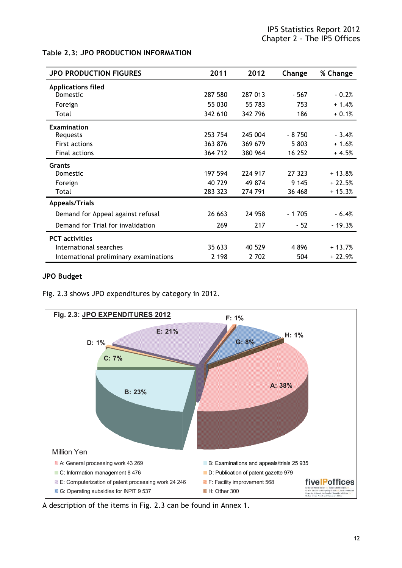## **Table 2.3: JPO PRODUCTION INFORMATION**

| <b>JPO PRODUCTION FIGURES</b>          | 2011    | 2012    | Change  | % Change |
|----------------------------------------|---------|---------|---------|----------|
| <b>Applications filed</b>              |         |         |         |          |
| Domestic                               | 287 580 | 287 013 | - 567   | $-0.2%$  |
| Foreign                                | 55 030  | 55 783  | 753     | $+1.4%$  |
| Total                                  | 342 610 | 342 796 | 186     | $+0.1%$  |
| Examination                            |         |         |         |          |
| Requests                               | 253 754 | 245 004 | $-8750$ | $-3.4%$  |
| <b>First actions</b>                   | 363 876 | 369 679 | 5 803   | $+1.6%$  |
| <b>Final actions</b>                   | 364 712 | 380 964 | 16 252  | $+4.5%$  |
| <b>Grants</b>                          |         |         |         |          |
| Domestic                               | 197 594 | 224 917 | 27 323  | $+13.8%$ |
| Foreign                                | 40 729  | 49 874  | 9 1 4 5 | $+22.5%$ |
| Total                                  | 283 323 | 274 791 | 36 468  | $+15.3%$ |
| <b>Appeals/Trials</b>                  |         |         |         |          |
| Demand for Appeal against refusal      | 26 663  | 24 9 58 | $-1705$ | $-6.4%$  |
| Demand for Trial for invalidation      | 269     | 217     | - 52    | $-19.3%$ |
| <b>PCT</b> activities                  |         |         |         |          |
| International searches                 | 35 633  | 40 529  | 4896    | $+13.7%$ |
| International preliminary examinations | 2 1 9 8 | 2 702   | 504     | $+22.9%$ |

#### **JPO Budget**

Fig. 2.3 shows JPO expenditures by category in 2012.



A description of the items in Fig. 2.3 can be found in Annex 1.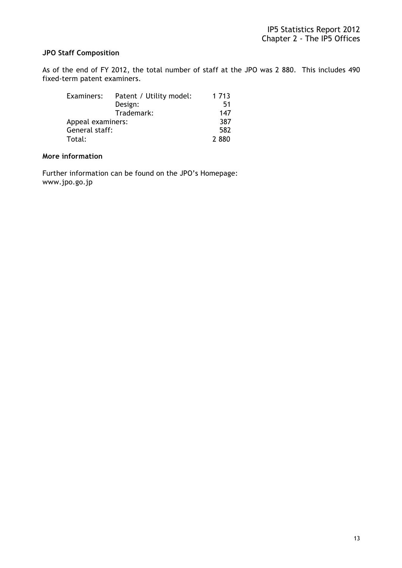# **JPO Staff Composition**

As of the end of FY 2012, the total number of staff at the JPO was 2 880. This includes 490 fixed-term patent examiners.

| Examiners:        | Patent / Utility model: | 1 713 |
|-------------------|-------------------------|-------|
|                   | Design:                 | 51    |
|                   | Trademark:              | 147   |
| Appeal examiners: |                         | 387   |
| General staff:    |                         | 582   |
| Total:            |                         | 2880  |

# **More information**

Further information can be found on the JPO's Homepage: www.jpo.go.jp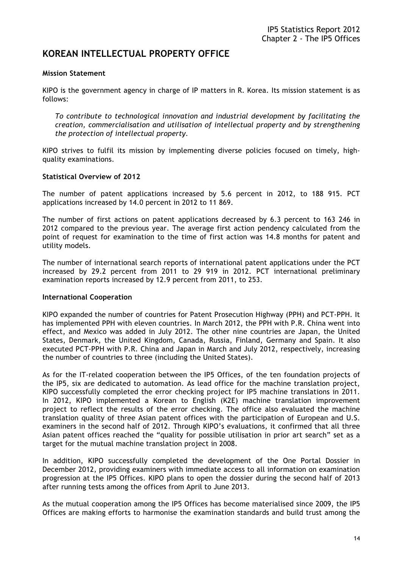# **KOREAN INTELLECTUAL PROPERTY OFFICE**

#### **Mission Statement**

KIPO is the government agency in charge of IP matters in R. Korea. Its mission statement is as follows:

*To contribute to technological innovation and industrial development by facilitating the creation, commercialisation and utilisation of intellectual property and by strengthening the protection of intellectual property.* 

KIPO strives to fulfil its mission by implementing diverse policies focused on timely, highquality examinations.

#### **Statistical Overview of 2012**

The number of patent applications increased by 5.6 percent in 2012, to 188 915. PCT applications increased by 14.0 percent in 2012 to 11 869.

The number of first actions on patent applications decreased by 6.3 percent to 163 246 in 2012 compared to the previous year. The average first action pendency calculated from the point of request for examination to the time of first action was 14.8 months for patent and utility models.

The number of international search reports of international patent applications under the PCT increased by 29.2 percent from 2011 to 29 919 in 2012. PCT international preliminary examination reports increased by 12.9 percent from 2011, to 253.

#### **International Cooperation**

KIPO expanded the number of countries for Patent Prosecution Highway (PPH) and PCT-PPH. It has implemented PPH with eleven countries. In March 2012, the PPH with P.R. China went into effect, and Mexico was added in July 2012. The other nine countries are Japan, the United States, Denmark, the United Kingdom, Canada, Russia, Finland, Germany and Spain. It also executed PCT-PPH with P.R. China and Japan in March and July 2012, respectively, increasing the number of countries to three (including the United States).

As for the IT-related cooperation between the IP5 Offices, of the ten foundation projects of the IP5, six are dedicated to automation. As lead office for the machine translation project, KIPO successfully completed the error checking project for IP5 machine translations in 2011. In 2012, KIPO implemented a Korean to English (K2E) machine translation improvement project to reflect the results of the error checking. The office also evaluated the machine translation quality of three Asian patent offices with the participation of European and U.S. examiners in the second half of 2012. Through KIPO's evaluations, it confirmed that all three Asian patent offices reached the "quality for possible utilisation in prior art search" set as a target for the mutual machine translation project in 2008.

In addition, KIPO successfully completed the development of the One Portal Dossier in December 2012, providing examiners with immediate access to all information on examination progression at the IP5 Offices. KIPO plans to open the dossier during the second half of 2013 after running tests among the offices from April to June 2013.

As the mutual cooperation among the IP5 Offices has become materialised since 2009, the IP5 Offices are making efforts to harmonise the examination standards and build trust among the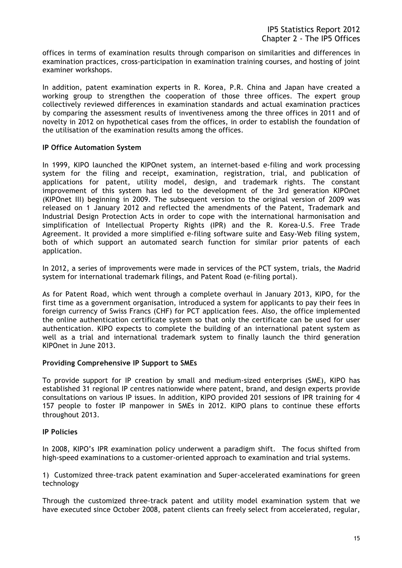offices in terms of examination results through comparison on similarities and differences in examination practices, cross-participation in examination training courses, and hosting of joint examiner workshops.

In addition, patent examination experts in R. Korea, P.R. China and Japan have created a working group to strengthen the cooperation of those three offices. The expert group collectively reviewed differences in examination standards and actual examination practices by comparing the assessment results of inventiveness among the three offices in 2011 and of novelty in 2012 on hypothetical cases from the offices, in order to establish the foundation of the utilisation of the examination results among the offices.

#### **IP Office Automation System**

In 1999, KIPO launched the KIPOnet system, an internet-based e-filing and work processing system for the filing and receipt, examination, registration, trial, and publication of applications for patent, utility model, design, and trademark rights. The constant improvement of this system has led to the development of the 3rd generation KIPOnet (KIPOnet III) beginning in 2009. The subsequent version to the original version of 2009 was released on 1 January 2012 and reflected the amendments of the Patent, Trademark and Industrial Design Protection Acts in order to cope with the international harmonisation and simplification of Intellectual Property Rights (IPR) and the R. Korea-U.S. Free Trade Agreement. It provided a more simplified e-filing software suite and Easy-Web filing system, both of which support an automated search function for similar prior patents of each application.

In 2012, a series of improvements were made in services of the PCT system, trials, the Madrid system for international trademark filings, and Patent Road (e-filing portal).

As for Patent Road, which went through a complete overhaul in January 2013, KIPO, for the first time as a government organisation, introduced a system for applicants to pay their fees in foreign currency of Swiss Francs (CHF) for PCT application fees. Also, the office implemented the online authentication certificate system so that only the certificate can be used for user authentication. KIPO expects to complete the building of an international patent system as well as a trial and international trademark system to finally launch the third generation KIPOnet in June 2013.

#### **Providing Comprehensive IP Support to SMEs**

To provide support for IP creation by small and medium-sized enterprises (SME), KIPO has established 31 regional IP centres nationwide where patent, brand, and design experts provide consultations on various IP issues. In addition, KIPO provided 201 sessions of IPR training for 4 157 people to foster IP manpower in SMEs in 2012. KIPO plans to continue these efforts throughout 2013.

#### **IP Policies**

In 2008, KIPO's IPR examination policy underwent a paradigm shift. The focus shifted from high-speed examinations to a customer-oriented approach to examination and trial systems.

1) Customized three-track patent examination and Super-accelerated examinations for green technology

Through the customized three-track patent and utility model examination system that we have executed since October 2008, patent clients can freely select from accelerated, regular,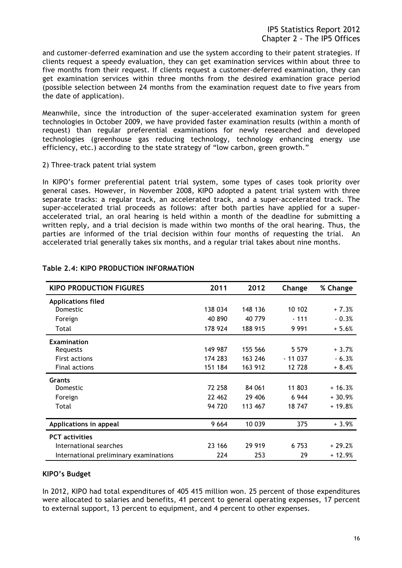and customer-deferred examination and use the system according to their patent strategies. If clients request a speedy evaluation, they can get examination services within about three to five months from their request. If clients request a customer-deferred examination, they can get examination services within three months from the desired examination grace period (possible selection between 24 months from the examination request date to five years from the date of application).

Meanwhile, since the introduction of the super-accelerated examination system for green technologies in October 2009, we have provided faster examination results (within a month of request) than regular preferential examinations for newly researched and developed technologies (greenhouse gas reducing technology, technology enhancing energy use efficiency, etc.) according to the state strategy of "low carbon, green growth."

2) Three-track patent trial system

In KIPO's former preferential patent trial system, some types of cases took priority over general cases. However, in November 2008, KIPO adopted a patent trial system with three separate tracks: a regular track, an accelerated track, and a super-accelerated track. The super-accelerated trial proceeds as follows: after both parties have applied for a superaccelerated trial, an oral hearing is held within a month of the deadline for submitting a written reply, and a trial decision is made within two months of the oral hearing. Thus, the parties are informed of the trial decision within four months of requesting the trial. An accelerated trial generally takes six months, and a regular trial takes about nine months.

| <b>KIPO PRODUCTION FIGURES</b>         | 2011    | 2012    | Change   | % Change |
|----------------------------------------|---------|---------|----------|----------|
| <b>Applications filed</b>              |         |         |          |          |
| <b>Domestic</b>                        | 138 034 | 148 136 | 10 102   | $+7.3%$  |
| Foreign                                | 40 890  | 40 779  | $-111$   | $-0.3%$  |
| Total                                  | 178 924 | 188 915 | 9 9 9 1  | $+5.6%$  |
| <b>Examination</b>                     |         |         |          |          |
| Requests                               | 149 987 | 155 566 | 5 5 7 9  | $+3.7%$  |
| <b>First actions</b>                   | 174 283 | 163 246 | - 11 037 | $-6.3%$  |
| Final actions                          | 151 184 | 163 912 | 12 728   | $+8.4%$  |
| <b>Grants</b>                          |         |         |          |          |
| Domestic                               | 72 258  | 84 061  | 11 803   | $+16.3%$ |
| Foreign                                | 22 462  | 29 406  | 6944     | $+30.9%$ |
| Total                                  | 94 720  | 113 467 | 18 747   | $+19.8%$ |
| Applications in appeal                 | 9 6 6 4 | 10 039  | 375      | $+3.9%$  |
| <b>PCT</b> activities                  |         |         |          |          |
| International searches                 | 23 166  | 29 919  | 6 7 5 3  | $+29.2%$ |
| International preliminary examinations | 224     | 253     | 29       | $+12.9%$ |

## **Table 2.4: KIPO PRODUCTION INFORMATION**

#### **KIPO's Budget**

In 2012, KIPO had total expenditures of 405 415 million won. 25 percent of those expenditures were allocated to salaries and benefits, 41 percent to general operating expenses, 17 percent to external support, 13 percent to equipment, and 4 percent to other expenses.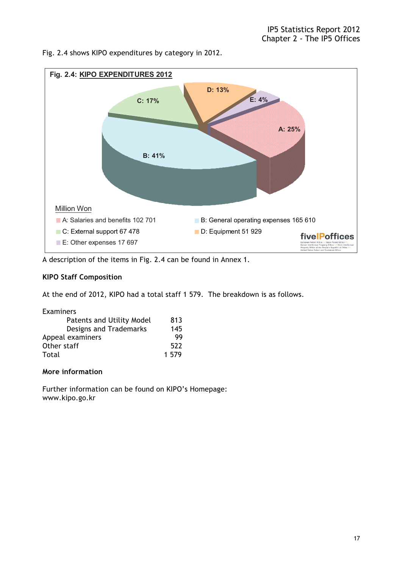Fig. 2.4 shows KIPO expenditures by category in 2012.



A description of the items in Fig. 2.4 can be found in Annex 1.

# **KIPO Staff Composition**

At the end of 2012, KIPO had a total staff 1 579. The breakdown is as follows.

| Examiners                 |       |
|---------------------------|-------|
| Patents and Utility Model | 813   |
| Designs and Trademarks    | 145   |
| Appeal examiners          | 99    |
| Other staff               | 522   |
| Total                     | 1 579 |

# **More information**

Further information can be found on KIPO's Homepage: www.kipo.go.kr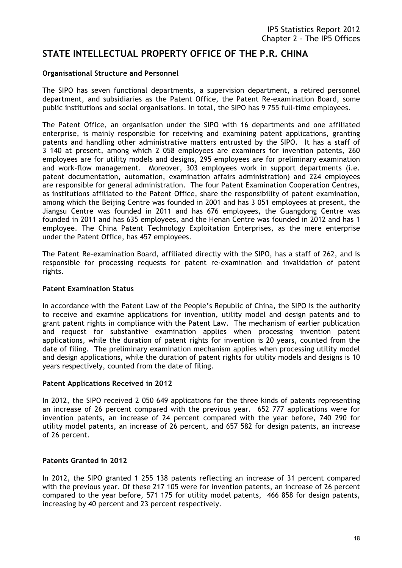# **STATE INTELLECTUAL PROPERTY OFFICE OF THE P.R. CHINA**

#### **Organisational Structure and Personnel**

The SIPO has seven functional departments, a supervision department, a retired personnel department, and subsidiaries as the Patent Office, the Patent Re-examination Board, some public institutions and social organisations. In total, the SIPO has 9 755 full-time employees.

The Patent Office, an organisation under the SIPO with 16 departments and one affiliated enterprise, is mainly responsible for receiving and examining patent applications, granting patents and handling other administrative matters entrusted by the SIPO. It has a staff of 3 140 at present, among which 2 058 employees are examiners for invention patents, 260 employees are for utility models and designs, 295 employees are for preliminary examination and work-flow management. Moreover, 303 employees work in support departments (i.e. patent documentation, automation, examination affairs administration) and 224 employees are responsible for general administration. The four Patent Examination Cooperation Centres, as institutions affiliated to the Patent Office, share the responsibility of patent examination, among which the Beijing Centre was founded in 2001 and has 3 051 employees at present, the Jiangsu Centre was founded in 2011 and has 676 employees, the Guangdong Centre was founded in 2011 and has 635 employees, and the Henan Centre was founded in 2012 and has 1 employee. The China Patent Technology Exploitation Enterprises, as the mere enterprise under the Patent Office, has 457 employees.

The Patent Re-examination Board, affiliated directly with the SIPO, has a staff of 262, and is responsible for processing requests for patent re-examination and invalidation of patent rights.

#### **Patent Examination Status**

In accordance with the Patent Law of the People's Republic of China, the SIPO is the authority to receive and examine applications for invention, utility model and design patents and to grant patent rights in compliance with the Patent Law. The mechanism of earlier publication and request for substantive examination applies when processing invention patent applications, while the duration of patent rights for invention is 20 years, counted from the date of filing. The preliminary examination mechanism applies when processing utility model and design applications, while the duration of patent rights for utility models and designs is 10 years respectively, counted from the date of filing.

#### **Patent Applications Received in 2012**

In 2012, the SIPO received 2 050 649 applications for the three kinds of patents representing an increase of 26 percent compared with the previous year. 652 777 applications were for invention patents, an increase of 24 percent compared with the year before, 740 290 for utility model patents, an increase of 26 percent, and 657 582 for design patents, an increase of 26 percent.

#### **Patents Granted in 2012**

In 2012, the SIPO granted 1 255 138 patents reflecting an increase of 31 percent compared with the previous year. Of these 217 105 were for invention patents, an increase of 26 percent compared to the year before, 571 175 for utility model patents, 466 858 for design patents, increasing by 40 percent and 23 percent respectively.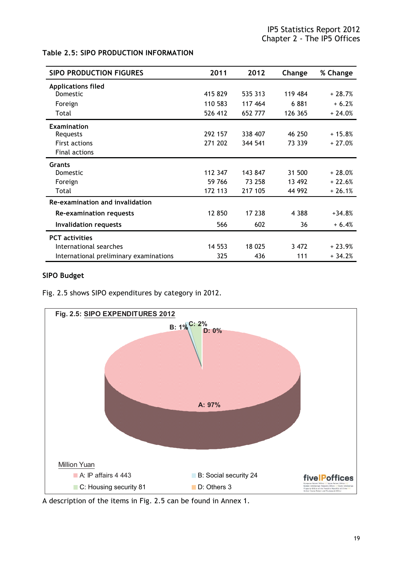#### **Table 2.5: SIPO PRODUCTION INFORMATION**

| <b>SIPO PRODUCTION FIGURES</b>         | 2011    | 2012    | Change  | % Change |
|----------------------------------------|---------|---------|---------|----------|
| <b>Applications filed</b>              |         |         |         |          |
| <b>Domestic</b>                        | 415 829 | 535 313 | 119 484 | $+28.7%$ |
| Foreign                                | 110 583 | 117 464 | 6881    | $+6.2%$  |
| Total                                  | 526 412 | 652 777 | 126 365 | $+24.0%$ |
| <b>Examination</b>                     |         |         |         |          |
| Requests                               | 292 157 | 338 407 | 46 250  | $+15.8%$ |
| <b>First actions</b>                   | 271 202 | 344 541 | 73 339  | $+27.0%$ |
| Final actions                          |         |         |         |          |
| Grants                                 |         |         |         |          |
| Domestic                               | 112 347 | 143 847 | 31 500  | $+28.0%$ |
| Foreign                                | 59 766  | 73 258  | 13 492  | $+22.6%$ |
| Total                                  | 172 113 | 217 105 | 44 992  | $+26.1%$ |
| Re-examination and invalidation        |         |         |         |          |
| Re-examination requests                | 12 850  | 17 238  | 4 3 8 8 | $+34.8%$ |
| <b>Invalidation requests</b>           | 566     | 602     | 36      | $+6.4%$  |
| <b>PCT</b> activities                  |         |         |         |          |
| International searches                 | 14 5 53 | 18 025  | 3 472   | $+23.9%$ |
| International preliminary examinations | 325     | 436     | 111     | $+34.2%$ |

#### **SIPO Budget**

Fig. 2.5 shows SIPO expenditures by category in 2012.



A description of the items in Fig. 2.5 can be found in Annex 1.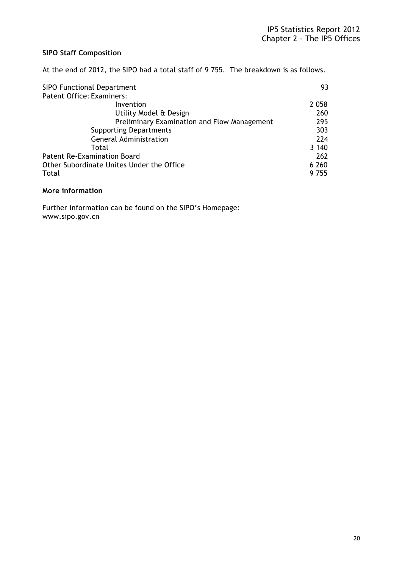# **SIPO Staff Composition**

At the end of 2012, the SIPO had a total staff of 9 755. The breakdown is as follows.

| <b>SIPO Functional Department</b>           |         |
|---------------------------------------------|---------|
| <b>Patent Office: Examiners:</b>            |         |
| Invention                                   | 2 0 5 8 |
| Utility Model & Design                      | 260     |
| Preliminary Examination and Flow Management | 295     |
| <b>Supporting Departments</b>               | 303     |
| <b>General Administration</b>               | 224     |
| Total                                       | 3 140   |
| <b>Patent Re-Examination Board</b>          | 262     |
| Other Subordinate Unites Under the Office   | 6 2 6 0 |
| Total                                       | 9 755   |

## **More information**

Further information can be found on the SIPO's Homepage: www.sipo.gov.cn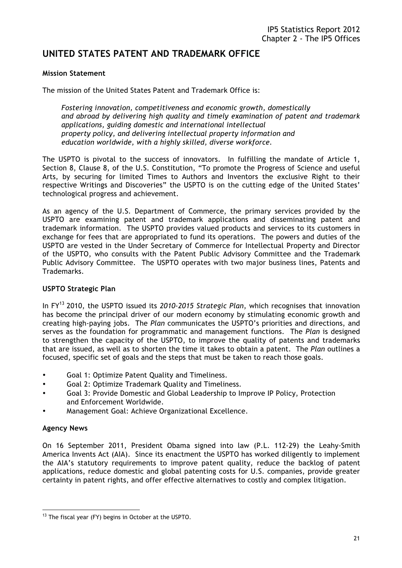# **UNITED STATES PATENT AND TRADEMARK OFFICE**

#### **Mission Statement**

The mission of the United States Patent and Trademark Office is:

*Fostering innovation, competitiveness and economic growth, domestically and abroad by delivering high quality and timely examination of patent and trademark applications, guiding domestic and international intellectual property policy, and delivering intellectual property information and education worldwide, with a highly skilled, diverse workforce.*

The USPTO is pivotal to the success of innovators. In fulfilling the mandate of Article 1, Section 8, Clause 8, of the U.S. Constitution, "To promote the Progress of Science and useful Arts, by securing for limited Times to Authors and Inventors the exclusive Right to their respective Writings and Discoveries" the USPTO is on the cutting edge of the United States' technological progress and achievement.

As an agency of the U.S. Department of Commerce, the primary services provided by the USPTO are examining patent and trademark applications and disseminating patent and trademark information. The USPTO provides valued products and services to its customers in exchange for fees that are appropriated to fund its operations. The powers and duties of the USPTO are vested in the Under Secretary of Commerce for Intellectual Property and Director of the USPTO, who consults with the Patent Public Advisory Committee and the Trademark Public Advisory Committee. The USPTO operates with two major business lines, Patents and Trademarks.

#### **USPTO Strategic Plan**

In FY13 2010, the USPTO issued its *2010-2015 Strategic Plan*, which recognises that innovation has become the principal driver of our modern economy by stimulating economic growth and creating high-paying jobs. The *Plan* communicates the USPTO's priorities and directions, and serves as the foundation for programmatic and management functions. The *Plan* is designed to strengthen the capacity of the USPTO, to improve the quality of patents and trademarks that are issued, as well as to shorten the time it takes to obtain a patent. The *Plan* outlines a focused, specific set of goals and the steps that must be taken to reach those goals.

- Goal 1: Optimize Patent Quality and Timeliness.
- Goal 2: Optimize Trademark Quality and Timeliness.
- Goal 3: Provide Domestic and Global Leadership to Improve IP Policy, Protection and Enforcement Worldwide.
- Management Goal: Achieve Organizational Excellence.

# **Agency News**

On 16 September 2011, President Obama signed into law (P.L. 112-29) the Leahy-Smith America Invents Act (AIA). Since its enactment the USPTO has worked diligently to implement the AIA's statutory requirements to improve patent quality, reduce the backlog of patent applications, reduce domestic and global patenting costs for U.S. companies, provide greater certainty in patent rights, and offer effective alternatives to costly and complex litigation.

 $\overline{a}$ <sup>13</sup> The fiscal year (FY) begins in October at the USPTO.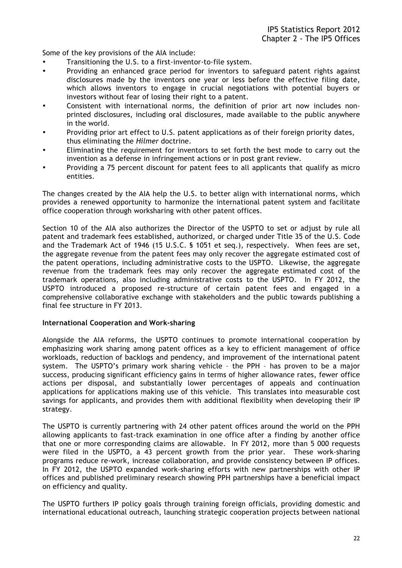Some of the key provisions of the AIA include:

- Transitioning the U.S. to a first-inventor-to-file system.
- Providing an enhanced grace period for inventors to safeguard patent rights against disclosures made by the inventors one year or less before the effective filing date, which allows inventors to engage in crucial negotiations with potential buyers or investors without fear of losing their right to a patent.
- Consistent with international norms, the definition of prior art now includes non printed disclosures, including oral disclosures, made available to the public anywhere in the world.
- Providing prior art effect to U.S. patent applications as of their foreign priority dates, thus eliminating the *Hilmer* doctrine.
- Eliminating the requirement for inventors to set forth the best mode to carry out the invention as a defense in infringement actions or in post grant review.
- Providing a 75 percent discount for patent fees to all applicants that qualify as micro entities.

The changes created by the AIA help the U.S. to better align with international norms, which provides a renewed opportunity to harmonize the international patent system and facilitate office cooperation through worksharing with other patent offices.

Section 10 of the AIA also authorizes the Director of the USPTO to set or adjust by rule all patent and trademark fees established, authorized, or charged under Title 35 of the U.S. Code and the Trademark Act of 1946 (15 U.S.C. § 1051 et seq.), respectively. When fees are set, the aggregate revenue from the patent fees may only recover the aggregate estimated cost of the patent operations, including administrative costs to the USPTO. Likewise, the aggregate revenue from the trademark fees may only recover the aggregate estimated cost of the trademark operations, also including administrative costs to the USPTO. In FY 2012, the USPTO introduced a proposed re-structure of certain patent fees and engaged in a comprehensive collaborative exchange with stakeholders and the public towards publishing a final fee structure in FY 2013.

#### **International Cooperation and Work-sharing**

Alongside the AIA reforms, the USPTO continues to promote international cooperation by emphasizing work sharing among patent offices as a key to efficient management of office workloads, reduction of backlogs and pendency, and improvement of the international patent system. The USPTO's primary work sharing vehicle – the PPH – has proven to be a major success, producing significant efficiency gains in terms of higher allowance rates, fewer office actions per disposal, and substantially lower percentages of appeals and continuation applications for applications making use of this vehicle. This translates into measurable cost savings for applicants, and provides them with additional flexibility when developing their IP strategy.

The USPTO is currently partnering with 24 other patent offices around the world on the PPH allowing applicants to fast-track examination in one office after a finding by another office that one or more corresponding claims are allowable. In FY 2012, more than 5 000 requests were filed in the USPTO, a 43 percent growth from the prior year. These work-sharing programs reduce re-work, increase collaboration, and provide consistency between IP offices. In FY 2012, the USPTO expanded work-sharing efforts with new partnerships with other IP offices and published preliminary research showing PPH partnerships have a beneficial impact on efficiency and quality.

The USPTO furthers IP policy goals through training foreign officials, providing domestic and international educational outreach, launching strategic cooperation projects between national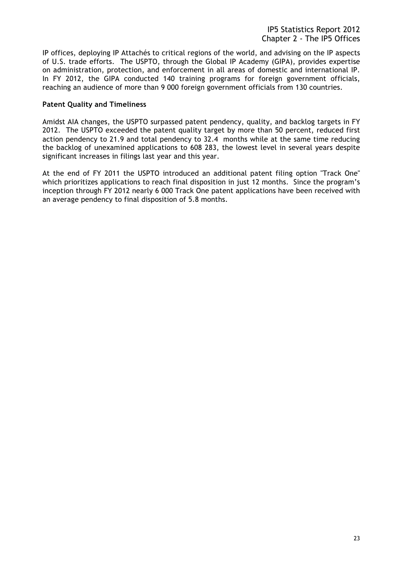IP offices, deploying IP Attachés to critical regions of the world, and advising on the IP aspects of U.S. trade efforts. The USPTO, through the Global IP Academy (GIPA), provides expertise on administration, protection, and enforcement in all areas of domestic and international IP. In FY 2012, the GIPA conducted 140 training programs for foreign government officials, reaching an audience of more than 9 000 foreign government officials from 130 countries.

#### **Patent Quality and Timeliness**

Amidst AIA changes, the USPTO surpassed patent pendency, quality, and backlog targets in FY 2012. The USPTO exceeded the patent quality target by more than 50 percent, reduced first action pendency to 21.9 and total pendency to 32.4 months while at the same time reducing the backlog of unexamined applications to 608 283, the lowest level in several years despite significant increases in filings last year and this year.

At the end of FY 2011 the USPTO introduced an additional patent filing option "Track One" which prioritizes applications to reach final disposition in just 12 months. Since the program's inception through FY 2012 nearly 6 000 Track One patent applications have been received with an average pendency to final disposition of 5.8 months.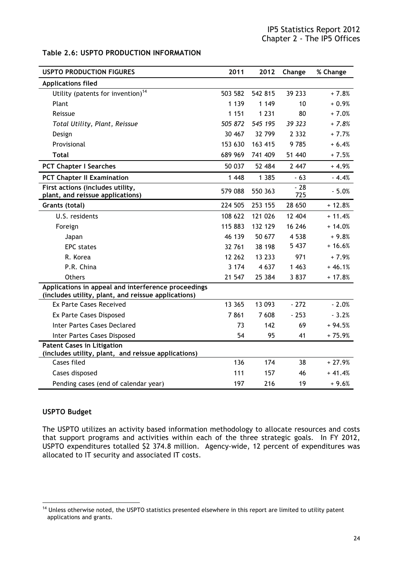#### **Table 2.6: USPTO PRODUCTION INFORMATION**

| <b>USPTO PRODUCTION FIGURES</b>                                                                            | 2011    | 2012     | Change       | % Change |
|------------------------------------------------------------------------------------------------------------|---------|----------|--------------|----------|
| <b>Applications filed</b>                                                                                  |         |          |              |          |
| Utility (patents for invention) <sup>14</sup>                                                              | 503 582 | 542 815  | 39 233       | $+7.8%$  |
| Plant                                                                                                      | 1 1 3 9 | 1 1 4 9  | 10           | $+0.9%$  |
| Reissue                                                                                                    | 1 1 5 1 | 1 2 3 1  | 80           | $+7.0%$  |
| Total Utility, Plant, Reissue                                                                              | 505 872 | 545 195  | 39 323       | $+7.8%$  |
| Design                                                                                                     | 30 467  | 32 799   | 2 3 3 2      | $+7.7%$  |
| Provisional                                                                                                | 153 630 | 163 415  | 9785         | $+6.4%$  |
| <b>Total</b>                                                                                               | 689 969 | 741 409  | 51 440       | $+7.5%$  |
| <b>PCT Chapter I Searches</b>                                                                              | 50 037  | 52 484   | 2 4 4 7      | $+4.9%$  |
| <b>PCT Chapter II Examination</b>                                                                          | 1 4 4 8 | 1 3 8 5  | $-63$        | $-4.4%$  |
| First actions (includes utility,<br>plant, and reissue applications)                                       | 579 088 | 550 363  | $-28$<br>725 | $-5.0%$  |
| Grants (total)                                                                                             | 224 505 | 253 155  | 28 650       | $+12.8%$ |
| U.S. residents                                                                                             | 108 622 | 121 026  | 12 404       | $+11.4%$ |
| Foreign                                                                                                    | 115 883 | 132 129  | 16 246       | $+14.0%$ |
| Japan                                                                                                      | 46 139  | 50 677   | 4 5 3 8      | $+9.8%$  |
| <b>EPC</b> states                                                                                          | 32 761  | 38 198   | 5 4 3 7      | $+16.6%$ |
| R. Korea                                                                                                   | 12 262  | 13 2 3 3 | 971          | $+7.9%$  |
| P.R. China                                                                                                 | 3 1 7 4 | 4 6 3 7  | 1 4 6 3      | $+46.1%$ |
| <b>Others</b>                                                                                              | 21 547  | 25 384   | 3837         | $+17.8%$ |
| Applications in appeal and interference proceedings<br>(includes utility, plant, and reissue applications) |         |          |              |          |
| <b>Ex Parte Cases Received</b>                                                                             | 13 365  | 13 093   | $-272$       | $-2.0%$  |
| <b>Ex Parte Cases Disposed</b>                                                                             | 7861    | 7 608    | $-253$       | $-3.2%$  |
| <b>Inter Partes Cases Declared</b>                                                                         | 73      | 142      | 69           | $+94.5%$ |
| Inter Partes Cases Disposed                                                                                | 54      | 95       | 41           | $+75.9%$ |
| <b>Patent Cases in Litigation</b><br>(includes utility, plant, and reissue applications)                   |         |          |              |          |
| Cases filed                                                                                                | 136     | 174      | 38           | $+27.9%$ |
| Cases disposed                                                                                             | 111     | 157      | 46           | $+41.4%$ |
| Pending cases (end of calendar year)                                                                       | 197     | 216      | 19           | $+9.6%$  |

#### **USPTO Budget**

 $\overline{\phantom{a}}$ 

The USPTO utilizes an activity based information methodology to allocate resources and costs that support programs and activities within each of the three strategic goals. In FY 2012, USPTO expenditures totalled \$2 374.8 million. Agency-wide, 12 percent of expenditures was allocated to IT security and associated IT costs.

<sup>&</sup>lt;sup>14</sup> Unless otherwise noted, the USPTO statistics presented elsewhere in this report are limited to utility patent applications and grants.